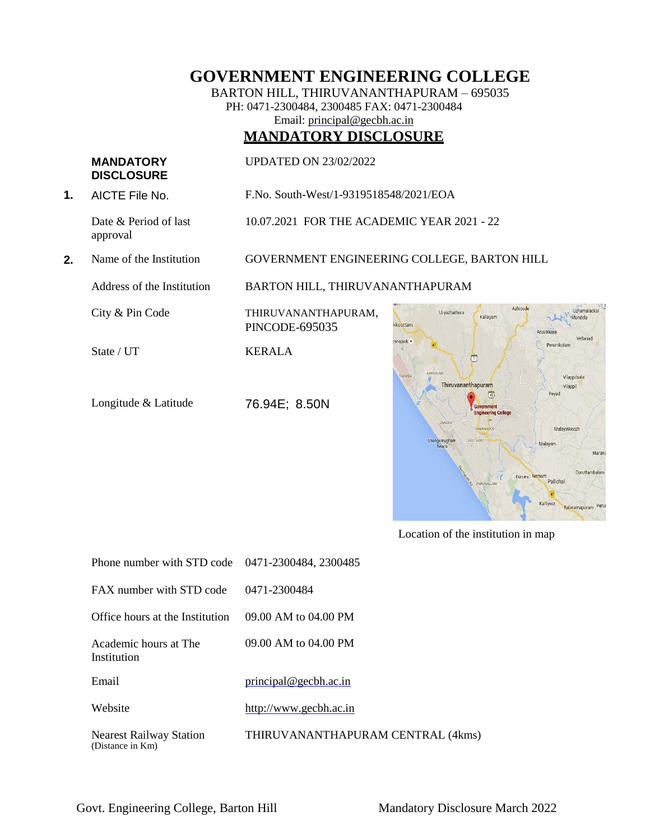# **GOVERNMENT ENGINEERING COLLEGE**

BARTON HILL, THIRUVANANTHAPURAM – 695035 PH: 0471-2300484, 2300485 FAX: 0471-2300484 Email: [principal@gecbh.ac.in](mailto:principal@gecbh.ac.in)

# **MANDATORY DISCLOSURE**

### **MANDATORY DISCLOSURE**

UPDATED ON 23/02/2022

**1.** AICTE File No. F.No. South-West/1-9319518548/2021/EOA

Date & Period of last approval

10.07.2021 FOR THE ACADEMIC YEAR 2021 - 22

**2.** Name of the Institution GOVERNMENT ENGINEERING COLLEGE, BARTON HILL

Address of the Institution BARTON HILL, THIRUVANANTHAPURAM

PINCODE-695035

City & Pin Code THIRUVANANTHAPURAM,

State / UT KERALA

Longitude & Latitude 76.94E; 8.50N



Location of the institution in map

| Phone number with STD code 0471-2300484, 2300485   |                                   |
|----------------------------------------------------|-----------------------------------|
| FAX number with STD code                           | 0471-2300484                      |
| Office hours at the Institution                    | 09.00 AM to 04.00 PM              |
| Academic hours at The<br>Institution               | 09.00 AM to 04.00 PM              |
| Email                                              | principal @ gecbh.ac.in           |
| Website                                            | http://www.gecbh.ac.in            |
| <b>Nearest Railway Station</b><br>(Distance in Km) | THIRUVANANTHAPURAM CENTRAL (4kms) |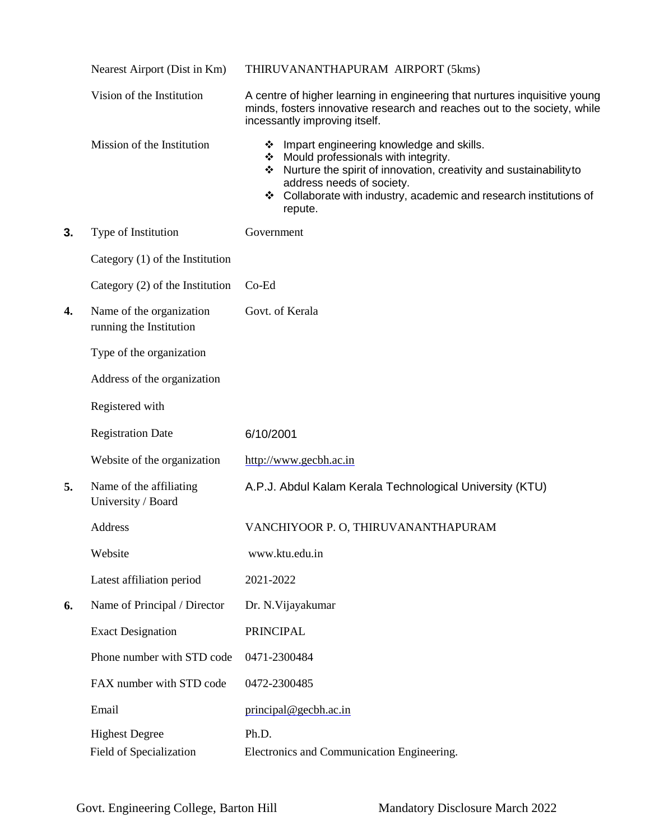|    | Nearest Airport (Dist in Km)                        | THIRUVANANTHAPURAM AIRPORT (5kms)                                                                                                                                                                                                                                             |
|----|-----------------------------------------------------|-------------------------------------------------------------------------------------------------------------------------------------------------------------------------------------------------------------------------------------------------------------------------------|
|    | Vision of the Institution                           | A centre of higher learning in engineering that nurtures inquisitive young<br>minds, fosters innovative research and reaches out to the society, while<br>incessantly improving itself.                                                                                       |
|    | Mission of the Institution                          | Impart engineering knowledge and skills.<br>❖<br>Mould professionals with integrity.<br>Nurture the spirit of innovation, creativity and sustainability to<br>❖<br>address needs of society.<br>❖ Collaborate with industry, academic and research institutions of<br>repute. |
| 3. | Type of Institution                                 | Government                                                                                                                                                                                                                                                                    |
|    | Category (1) of the Institution                     |                                                                                                                                                                                                                                                                               |
|    | Category (2) of the Institution                     | $Co-Ed$                                                                                                                                                                                                                                                                       |
| 4. | Name of the organization<br>running the Institution | Govt. of Kerala                                                                                                                                                                                                                                                               |
|    | Type of the organization                            |                                                                                                                                                                                                                                                                               |
|    | Address of the organization                         |                                                                                                                                                                                                                                                                               |
|    | Registered with                                     |                                                                                                                                                                                                                                                                               |
|    | <b>Registration Date</b>                            | 6/10/2001                                                                                                                                                                                                                                                                     |
|    | Website of the organization                         | http://www.gecbh.ac.in                                                                                                                                                                                                                                                        |
| 5. | Name of the affiliating<br>University / Board       | A.P.J. Abdul Kalam Kerala Technological University (KTU)                                                                                                                                                                                                                      |
|    | Address                                             | VANCHIYOOR P. O, THIRUVANANTHAPURAM                                                                                                                                                                                                                                           |
|    | Website                                             | www.ktu.edu.in                                                                                                                                                                                                                                                                |
|    | Latest affiliation period                           | 2021-2022                                                                                                                                                                                                                                                                     |
| 6. | Name of Principal / Director                        | Dr. N. Vijayakumar                                                                                                                                                                                                                                                            |
|    | <b>Exact Designation</b>                            | <b>PRINCIPAL</b>                                                                                                                                                                                                                                                              |
|    | Phone number with STD code                          | 0471-2300484                                                                                                                                                                                                                                                                  |
|    | FAX number with STD code                            | 0472-2300485                                                                                                                                                                                                                                                                  |
|    | Email                                               | principal@gecbh.ac.in                                                                                                                                                                                                                                                         |
|    | <b>Highest Degree</b><br>Field of Specialization    | Ph.D.<br>Electronics and Communication Engineering.                                                                                                                                                                                                                           |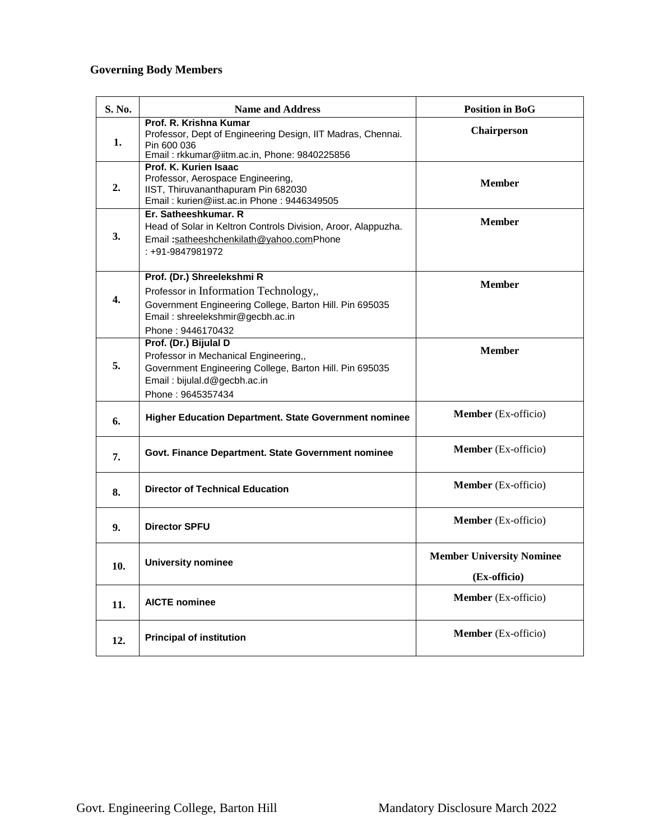# **Governing Body Members**

| S. No.           | <b>Name and Address</b>                                                                                                                                                                 | <b>Position in BoG</b>                           |
|------------------|-----------------------------------------------------------------------------------------------------------------------------------------------------------------------------------------|--------------------------------------------------|
| 1.               | Prof. R. Krishna Kumar<br>Professor, Dept of Engineering Design, IIT Madras, Chennai.<br>Pin 600 036<br>Email: rkkumar@iitm.ac.in, Phone: 9840225856                                    | Chairperson                                      |
| 2.               | Prof. K. Kurien Isaac<br>Professor, Aerospace Engineering,<br>IIST, Thiruvananthapuram Pin 682030<br>Email: kurien@iist.ac.in Phone: 9446349505                                         | <b>Member</b>                                    |
| 3.               | Er. Satheeshkumar. R<br>Head of Solar in Keltron Controls Division, Aroor, Alappuzha.<br>Email:satheeshchenkilath@yahoo.comPhone<br>: +91-9847981972                                    | <b>Member</b>                                    |
| $\overline{4}$ . | Prof. (Dr.) Shreelekshmi R<br>Professor in Information Technology,,<br>Government Engineering College, Barton Hill. Pin 695035<br>Email: shreelekshmir@gecbh.ac.in<br>Phone: 9446170432 | <b>Member</b>                                    |
| 5.               | Prof. (Dr.) Bijulal D<br>Professor in Mechanical Engineering,,<br>Government Engineering College, Barton Hill. Pin 695035<br>Email: bijulal.d@gecbh.ac.in<br>Phone: 9645357434          | <b>Member</b>                                    |
| 6.               | Higher Education Department. State Government nominee                                                                                                                                   | <b>Member</b> (Ex-officio)                       |
| 7.               | Govt. Finance Department. State Government nominee                                                                                                                                      | Member (Ex-officio)                              |
| 8.               | <b>Director of Technical Education</b>                                                                                                                                                  | Member (Ex-officio)                              |
| 9.               | <b>Director SPFU</b>                                                                                                                                                                    | <b>Member</b> (Ex-officio)                       |
| 10.              | <b>University nominee</b>                                                                                                                                                               | <b>Member University Nominee</b><br>(Ex-officio) |
| 11.              | <b>AICTE</b> nominee                                                                                                                                                                    | Member (Ex-officio)                              |
| 12.              | <b>Principal of institution</b>                                                                                                                                                         | Member (Ex-officio)                              |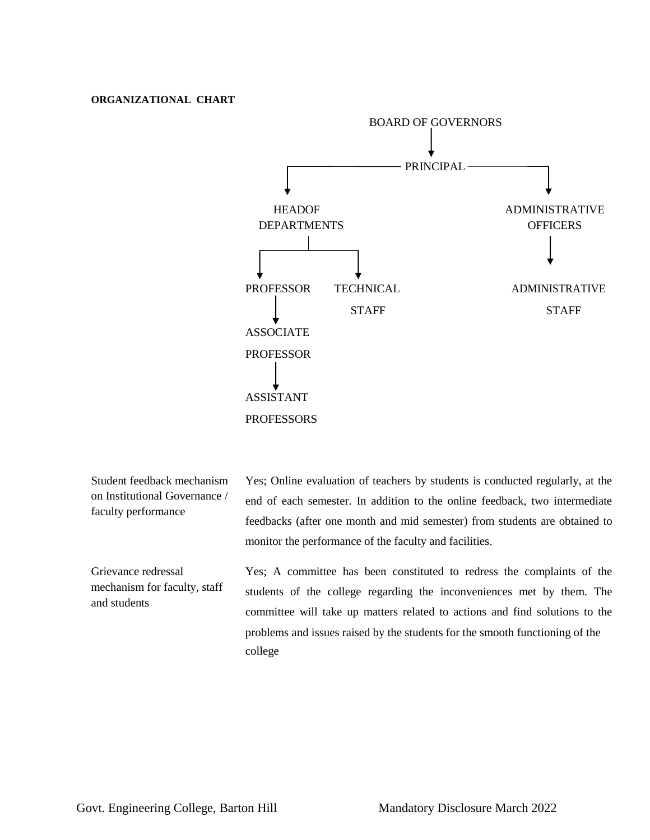### **ORGANIZATIONAL CHART**



Student feedback mechanism on Institutional Governance / faculty performance

Yes; Online evaluation of teachers by students is conducted regularly, at the end of each semester. In addition to the online feedback, two intermediate feedbacks (after one month and mid semester) from students are obtained to monitor the performance of the faculty and facilities.

Grievance redressal mechanism for faculty, staff and students Yes; A committee has been constituted to redress the complaints of the students of the college regarding the inconveniences met by them. The committee will take up matters related to actions and find solutions to the problems and issues raised by the students for the smooth functioning of the college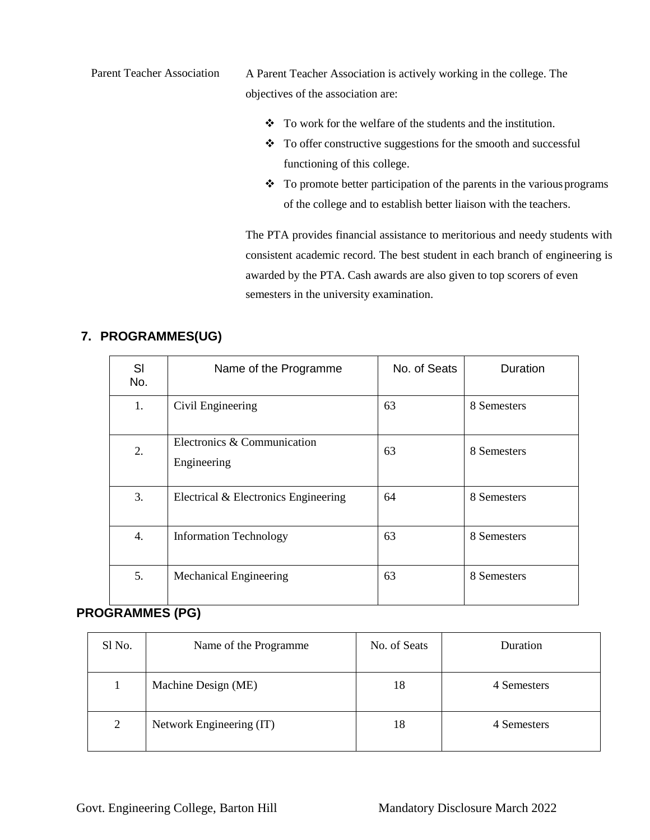Parent Teacher Association A Parent Teacher Association is actively working in the college. The objectives of the association are:

- $\bullet$  To work for the welfare of the students and the institution.
- $\div$  To offer constructive suggestions for the smooth and successful functioning of this college.
- $\cdot \cdot$  To promote better participation of the parents in the various programs of the college and to establish better liaison with the teachers.

The PTA provides financial assistance to meritorious and needy students with consistent academic record. The best student in each branch of engineering is awarded by the PTA. Cash awards are also given to top scorers of even semesters in the university examination.

| SI<br>No. | Name of the Programme                      | No. of Seats | <b>Duration</b> |
|-----------|--------------------------------------------|--------------|-----------------|
| 1.        | Civil Engineering                          | 63           | 8 Semesters     |
| 2.        | Electronics & Communication<br>Engineering | 63           | 8 Semesters     |
| 3.        | Electrical & Electronics Engineering       | 64           | 8 Semesters     |
| 4.        | <b>Information Technology</b>              | 63           | 8 Semesters     |
| 5.        | <b>Mechanical Engineering</b>              | 63           | 8 Semesters     |

# **7. PROGRAMMES(UG)**

# **PROGRAMMES (PG)**

| Sl No.         | Name of the Programme    | No. of Seats | Duration    |
|----------------|--------------------------|--------------|-------------|
|                | Machine Design (ME)      | 18           | 4 Semesters |
| $\overline{2}$ | Network Engineering (IT) | 18           | 4 Semesters |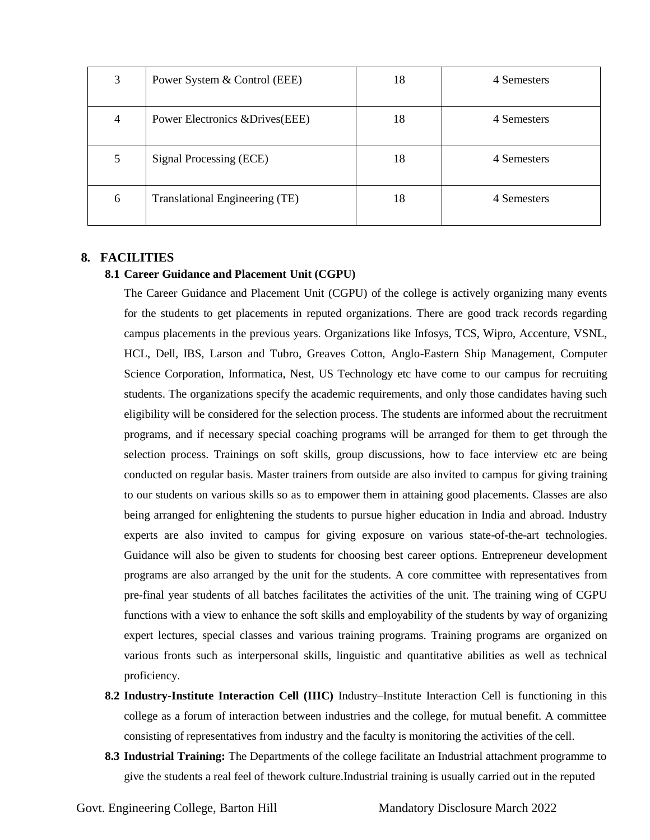| 3 | Power System & Control (EEE)     | 18 | 4 Semesters |
|---|----------------------------------|----|-------------|
| 4 | Power Electronics & Drives (EEE) | 18 | 4 Semesters |
| 5 | Signal Processing (ECE)          | 18 | 4 Semesters |
| 6 | Translational Engineering (TE)   | 18 | 4 Semesters |

### **8. FACILITIES**

### **8.1 Career Guidance and Placement Unit (CGPU)**

The Career Guidance and Placement Unit (CGPU) of the college is actively organizing many events for the students to get placements in reputed organizations. There are good track records regarding campus placements in the previous years. Organizations like Infosys, TCS, Wipro, Accenture, VSNL, HCL, Dell, IBS, Larson and Tubro, Greaves Cotton, Anglo-Eastern Ship Management, Computer Science Corporation, Informatica, Nest, US Technology etc have come to our campus for recruiting students. The organizations specify the academic requirements, and only those candidates having such eligibility will be considered for the selection process. The students are informed about the recruitment programs, and if necessary special coaching programs will be arranged for them to get through the selection process. Trainings on soft skills, group discussions, how to face interview etc are being conducted on regular basis. Master trainers from outside are also invited to campus for giving training to our students on various skills so as to empower them in attaining good placements. Classes are also being arranged for enlightening the students to pursue higher education in India and abroad. Industry experts are also invited to campus for giving exposure on various state-of-the-art technologies. Guidance will also be given to students for choosing best career options. Entrepreneur development programs are also arranged by the unit for the students. A core committee with representatives from pre-final year students of all batches facilitates the activities of the unit. The training wing of CGPU functions with a view to enhance the soft skills and employability of the students by way of organizing expert lectures, special classes and various training programs. Training programs are organized on various fronts such as interpersonal skills, linguistic and quantitative abilities as well as technical proficiency.

- **8.2 Industry-Institute Interaction Cell (IIIC)** Industry–Institute Interaction Cell is functioning in this college as a forum of interaction between industries and the college, for mutual benefit. A committee consisting of representatives from industry and the faculty is monitoring the activities of the cell.
- **8.3 Industrial Training:** The Departments of the college facilitate an Industrial attachment programme to give the students a real feel of thework culture.Industrial training is usually carried out in the reputed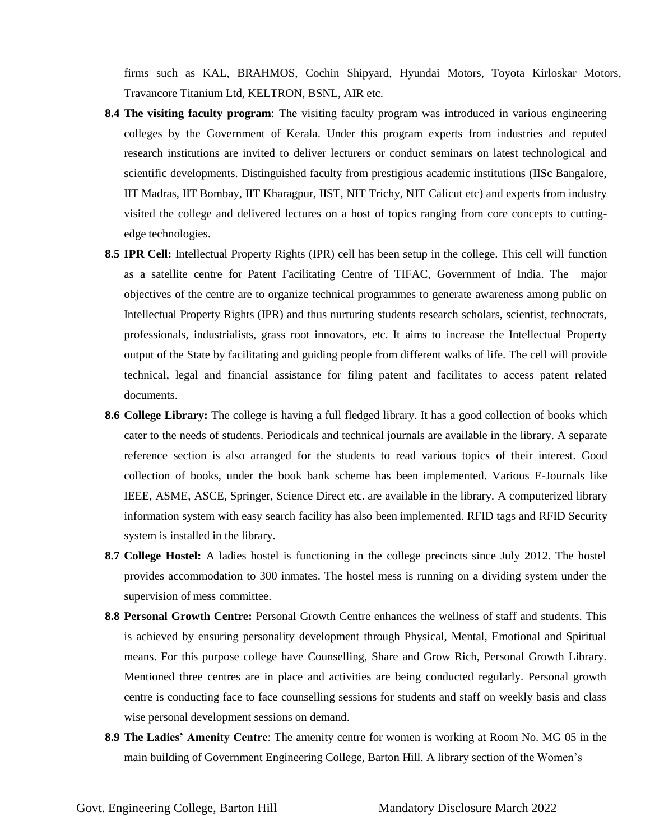firms such as KAL, BRAHMOS, Cochin Shipyard, Hyundai Motors, Toyota Kirloskar Motors, Travancore Titanium Ltd, KELTRON, BSNL, AIR etc.

- **8.4 The visiting faculty program**: The visiting faculty program was introduced in various engineering colleges by the Government of Kerala. Under this program experts from industries and reputed research institutions are invited to deliver lecturers or conduct seminars on latest technological and scientific developments. Distinguished faculty from prestigious academic institutions (IISc Bangalore, IIT Madras, IIT Bombay, IIT Kharagpur, IIST, NIT Trichy, NIT Calicut etc) and experts from industry visited the college and delivered lectures on a host of topics ranging from core concepts to cuttingedge technologies.
- **8.5 IPR Cell:** Intellectual Property Rights (IPR) cell has been setup in the college. This cell will function as a satellite centre for Patent Facilitating Centre of TIFAC, Government of India. The major objectives of the centre are to organize technical programmes to generate awareness among public on Intellectual Property Rights (IPR) and thus nurturing students research scholars, scientist, technocrats, professionals, industrialists, grass root innovators, etc. It aims to increase the Intellectual Property output of the State by facilitating and guiding people from different walks of life. The cell will provide technical, legal and financial assistance for filing patent and facilitates to access patent related documents.
- **8.6 College Library:** The college is having a full fledged library. It has a good collection of books which cater to the needs of students. Periodicals and technical journals are available in the library. A separate reference section is also arranged for the students to read various topics of their interest. Good collection of books, under the book bank scheme has been implemented. Various E-Journals like IEEE, ASME, ASCE, Springer, Science Direct etc. are available in the library. A computerized library information system with easy search facility has also been implemented. RFID tags and RFID Security system is installed in the library.
- **8.7 College Hostel:** A ladies hostel is functioning in the college precincts since July 2012. The hostel provides accommodation to 300 inmates. The hostel mess is running on a dividing system under the supervision of mess committee.
- **8.8 Personal Growth Centre:** Personal Growth Centre enhances the wellness of staff and students. This is achieved by ensuring personality development through Physical, Mental, Emotional and Spiritual means. For this purpose college have Counselling, Share and Grow Rich, Personal Growth Library. Mentioned three centres are in place and activities are being conducted regularly. Personal growth centre is conducting face to face counselling sessions for students and staff on weekly basis and class wise personal development sessions on demand.
- **8.9 The Ladies' Amenity Centre**: The amenity centre for women is working at Room No. MG 05 in the main building of Government Engineering College, Barton Hill. A library section of the Women's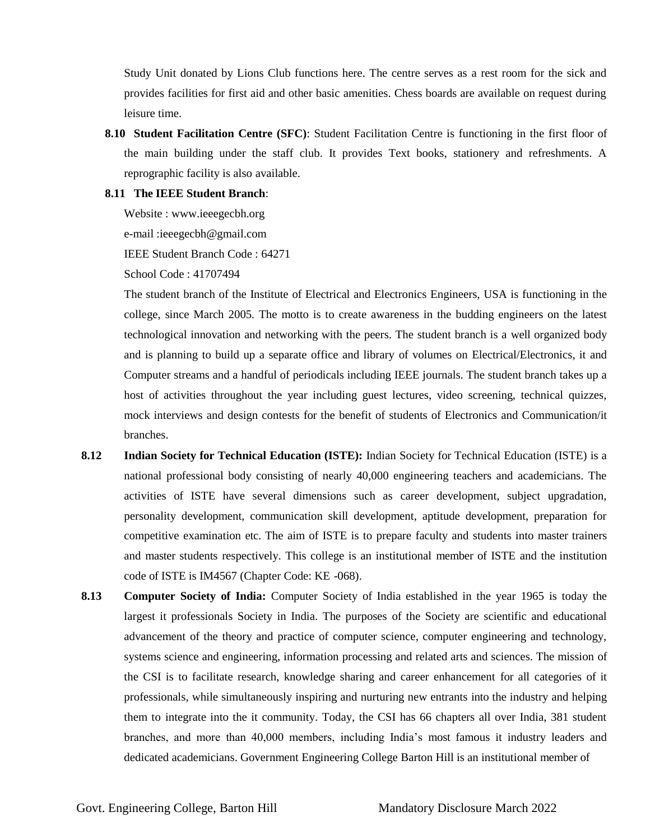Study Unit donated by Lions Club functions here. The centre serves as a rest room for the sick and provides facilities for first aid and other basic amenities. Chess boards are available on request during leisure time.

**8.10 Student Facilitation Centre (SFC)**: Student Facilitation Centre is functioning in the first floor of the main building under the staff club. It provides Text books, stationery and refreshments. A reprographic facility is also available.

#### **8.11 The IEEE Student Branch**:

Website : [www.ieeegecbh.org](http://www.ieeegecbh.org/) e-mail [:ieeegecbh@gmail.com](mailto:ieeegecbh@gmail.com) IEEE Student Branch Code : 64271

School Code : 41707494

The student branch of the Institute of Electrical and Electronics Engineers, USA is functioning in the college, since March 2005. The motto is to create awareness in the budding engineers on the latest technological innovation and networking with the peers. The student branch is a well organized body and is planning to build up a separate office and library of volumes on Electrical/Electronics, it and Computer streams and a handful of periodicals including IEEE journals. The student branch takes up a host of activities throughout the year including guest lectures, video screening, technical quizzes, mock interviews and design contests for the benefit of students of Electronics and Communication/it branches.

- **8.12 Indian Society for Technical Education (ISTE):** Indian Society for Technical Education (ISTE) is a national professional body consisting of nearly 40,000 engineering teachers and academicians. The activities of ISTE have several dimensions such as career development, subject upgradation, personality development, communication skill development, aptitude development, preparation for competitive examination etc. The aim of ISTE is to prepare faculty and students into master trainers and master students respectively. This college is an institutional member of ISTE and the institution code of ISTE is IM4567 (Chapter Code: KE -068).
- **8.13 Computer Society of India:** Computer Society of India established in the year 1965 is today the largest it professionals Society in India. The purposes of the Society are scientific and educational advancement of the theory and practice of computer science, computer engineering and technology, systems science and engineering, information processing and related arts and sciences. The mission of the CSI is to facilitate research, knowledge sharing and career enhancement for all categories of it professionals, while simultaneously inspiring and nurturing new entrants into the industry and helping them to integrate into the it community. Today, the CSI has 66 chapters all over India, 381 student branches, and more than 40,000 members, including India's most famous it industry leaders and dedicated academicians. Government Engineering College Barton Hill is an institutional member of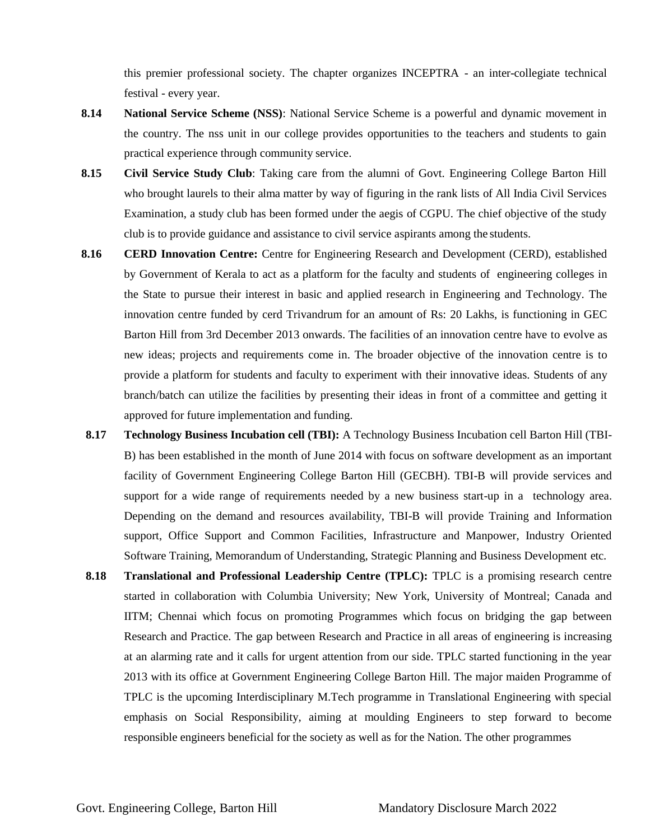this premier professional society. The chapter organizes INCEPTRA - an inter-collegiate technical festival - every year.

- **8.14 National Service Scheme (NSS)**: National Service Scheme is a powerful and dynamic movement in the country. The nss unit in our college provides opportunities to the teachers and students to gain practical experience through community service.
- **8.15 Civil Service Study Club**: Taking care from the alumni of Govt. Engineering College Barton Hill who brought laurels to their alma matter by way of figuring in the rank lists of All India Civil Services Examination, a study club has been formed under the aegis of CGPU. The chief objective of the study club is to provide guidance and assistance to civil service aspirants among the students.
- 8.16 **CERD Innovation Centre:** Centre for Engineering Research and Development (CERD), established by Government of Kerala to act as a platform for the faculty and students of engineering colleges in the State to pursue their interest in basic and applied research in Engineering and Technology. The innovation centre funded by cerd Trivandrum for an amount of Rs: 20 Lakhs, is functioning in GEC Barton Hill from 3rd December 2013 onwards. The facilities of an innovation centre have to evolve as new ideas; projects and requirements come in. The broader objective of the innovation centre is to provide a platform for students and faculty to experiment with their innovative ideas. Students of any branch/batch can utilize the facilities by presenting their ideas in front of a committee and getting it approved for future implementation and funding.
- **8.17 Technology Business Incubation cell (TBI):** A Technology Business Incubation cell Barton Hill (TBI-B) has been established in the month of June 2014 with focus on software development as an important facility of Government Engineering College Barton Hill (GECBH). TBI-B will provide services and support for a wide range of requirements needed by a new business start-up in a technology area. Depending on the demand and resources availability, TBI-B will provide Training and Information support, Office Support and Common Facilities, Infrastructure and Manpower, Industry Oriented Software Training, Memorandum of Understanding, Strategic Planning and Business Development etc.
- **8.18 Translational and Professional Leadership Centre (TPLC):** TPLC is a promising research centre started in collaboration with Columbia University; New York, University of Montreal; Canada and IITM; Chennai which focus on promoting Programmes which focus on bridging the gap between Research and Practice. The gap between Research and Practice in all areas of engineering is increasing at an alarming rate and it calls for urgent attention from our side. TPLC started functioning in the year 2013 with its office at Government Engineering College Barton Hill. The major maiden Programme of TPLC is the upcoming Interdisciplinary M.Tech programme in Translational Engineering with special emphasis on Social Responsibility, aiming at moulding Engineers to step forward to become responsible engineers beneficial for the society as well as for the Nation. The other programmes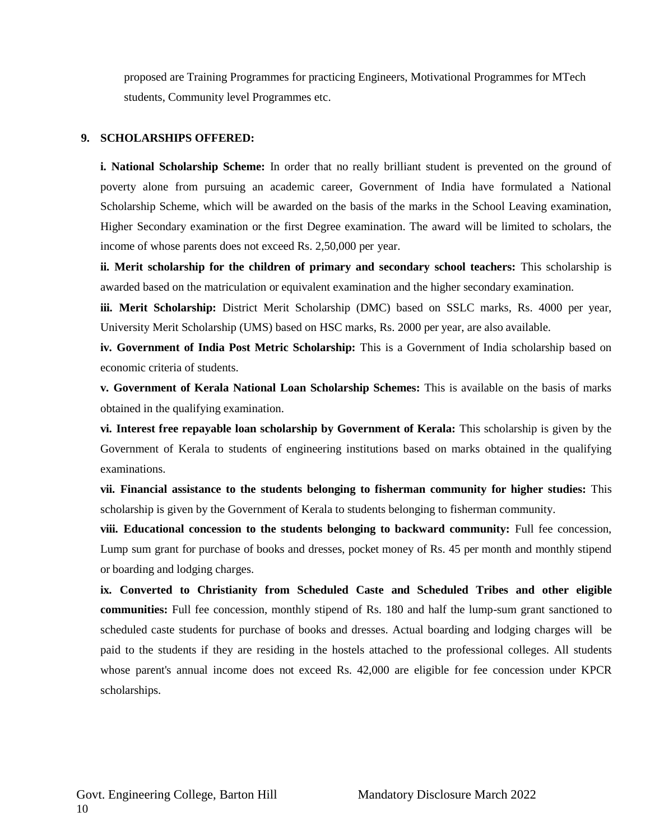proposed are Training Programmes for practicing Engineers, Motivational Programmes for MTech students, Community level Programmes etc.

### **9. SCHOLARSHIPS OFFERED:**

**i. National Scholarship Scheme:** In order that no really brilliant student is prevented on the ground of poverty alone from pursuing an academic career, Government of India have formulated a National Scholarship Scheme, which will be awarded on the basis of the marks in the School Leaving examination, Higher Secondary examination or the first Degree examination. The award will be limited to scholars, the income of whose parents does not exceed Rs. 2,50,000 per year.

**ii. Merit scholarship for the children of primary and secondary school teachers:** This scholarship is awarded based on the matriculation or equivalent examination and the higher secondary examination.

**iii. Merit Scholarship:** District Merit Scholarship (DMC) based on SSLC marks, Rs. 4000 per year, University Merit Scholarship (UMS) based on HSC marks, Rs. 2000 per year, are also available.

**iv. Government of India Post Metric Scholarship:** This is a Government of India scholarship based on economic criteria of students.

**v. Government of Kerala National Loan Scholarship Schemes:** This is available on the basis of marks obtained in the qualifying examination.

**vi. Interest free repayable loan scholarship by Government of Kerala:** This scholarship is given by the Government of Kerala to students of engineering institutions based on marks obtained in the qualifying examinations.

**vii. Financial assistance to the students belonging to fisherman community for higher studies:** This scholarship is given by the Government of Kerala to students belonging to fisherman community.

**viii. Educational concession to the students belonging to backward community:** Full fee concession, Lump sum grant for purchase of books and dresses, pocket money of Rs. 45 per month and monthly stipend or boarding and lodging charges.

**ix. Converted to Christianity from Scheduled Caste and Scheduled Tribes and other eligible communities:** Full fee concession, monthly stipend of Rs. 180 and half the lump-sum grant sanctioned to scheduled caste students for purchase of books and dresses. Actual boarding and lodging charges will be paid to the students if they are residing in the hostels attached to the professional colleges. All students whose parent's annual income does not exceed Rs. 42,000 are eligible for fee concession under KPCR scholarships.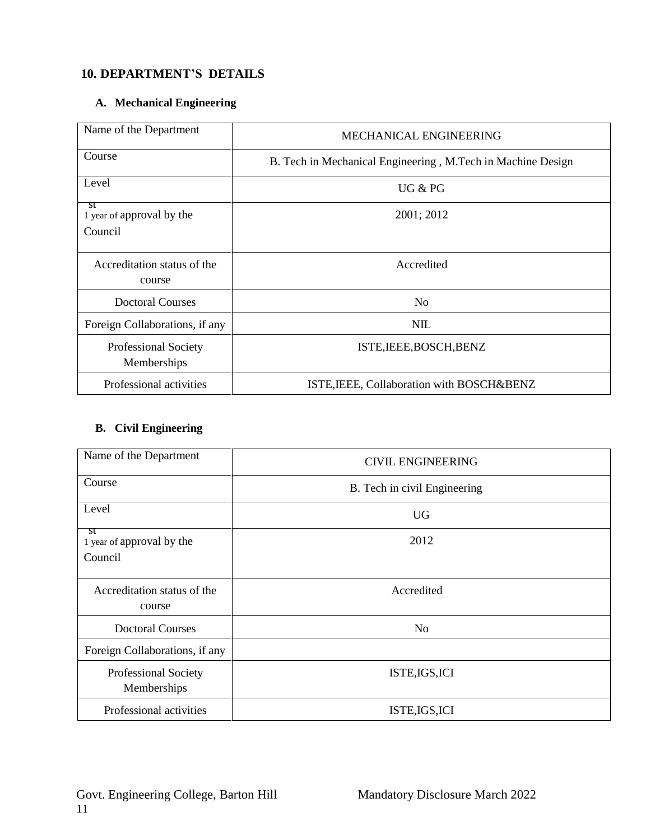# **10. DEPARTMENT'S DETAILS**

## **A. Mechanical Engineering**

| Name of the Department                | <b>MECHANICAL ENGINEERING</b>                               |  |
|---------------------------------------|-------------------------------------------------------------|--|
| Course                                | B. Tech in Mechanical Engineering, M.Tech in Machine Design |  |
| Level                                 | UG & PG                                                     |  |
| st<br>1 year of approval by the       | 2001; 2012                                                  |  |
| Council                               |                                                             |  |
| Accreditation status of the<br>course | Accredited                                                  |  |
| <b>Doctoral Courses</b>               | N <sub>o</sub>                                              |  |
| Foreign Collaborations, if any        | <b>NIL</b>                                                  |  |
| Professional Society<br>Memberships   | ISTE, IEEE, BOSCH, BENZ                                     |  |
| Professional activities               | ISTE, IEEE, Collaboration with BOSCH&BENZ                   |  |

# **B. Civil Engineering**

| Name of the Department                     | <b>CIVIL ENGINEERING</b>     |
|--------------------------------------------|------------------------------|
| Course                                     | B. Tech in civil Engineering |
| Level                                      | <b>UG</b>                    |
| st<br>1 year of approval by the<br>Council | 2012                         |
| Accreditation status of the<br>course      | Accredited                   |
| <b>Doctoral Courses</b>                    | No                           |
| Foreign Collaborations, if any             |                              |
| Professional Society<br>Memberships        | ISTE, IGS, ICI               |
| Professional activities                    | ISTE, IGS, ICI               |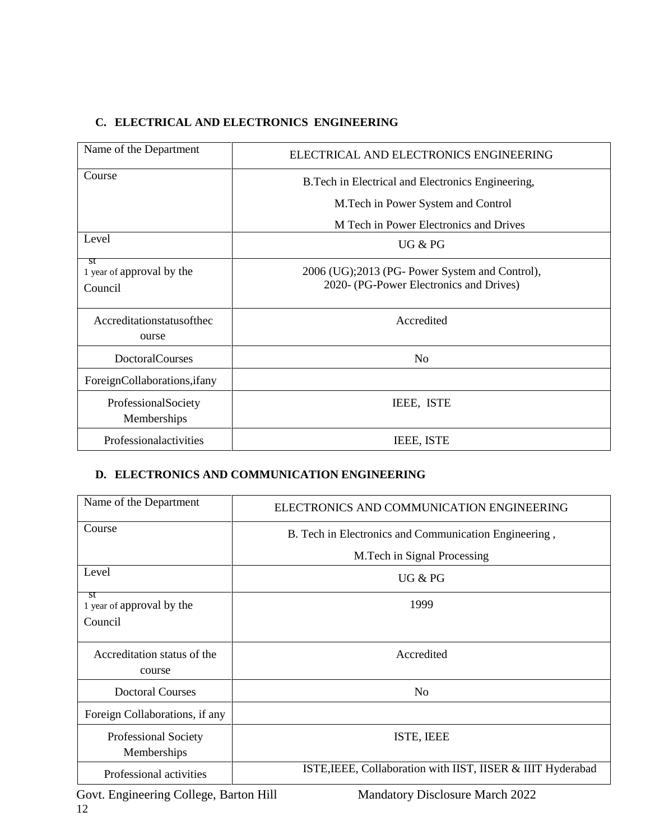# **C. ELECTRICAL AND ELECTRONICS ENGINEERING**

| Name of the Department                     | ELECTRICAL AND ELECTRONICS ENGINEERING                                                    |  |
|--------------------------------------------|-------------------------------------------------------------------------------------------|--|
| Course                                     | B. Tech in Electrical and Electronics Engineering,                                        |  |
|                                            | M. Tech in Power System and Control                                                       |  |
|                                            | M Tech in Power Electronics and Drives                                                    |  |
| Level                                      | UG & PG                                                                                   |  |
| st<br>1 year of approval by the<br>Council | 2006 (UG);2013 (PG- Power System and Control),<br>2020- (PG-Power Electronics and Drives) |  |
| Accreditationstatusofthec<br>ourse         | Accredited                                                                                |  |
| <b>DoctoralCourses</b>                     | N <sub>0</sub>                                                                            |  |
| ForeignCollaborations, if any              |                                                                                           |  |
| ProfessionalSociety<br>Memberships         | IEEE, ISTE                                                                                |  |
| Professionalactivities                     | <b>IEEE, ISTE</b>                                                                         |  |

## **D. ELECTRONICS AND COMMUNICATION ENGINEERING**

| Name of the Department                | ELECTRONICS AND COMMUNICATION ENGINEERING                   |  |
|---------------------------------------|-------------------------------------------------------------|--|
| Course                                | B. Tech in Electronics and Communication Engineering,       |  |
|                                       | M. Tech in Signal Processing                                |  |
| Level                                 | UG & PG                                                     |  |
| st<br>1 year of approval by the       | 1999                                                        |  |
| Council                               |                                                             |  |
| Accreditation status of the<br>course | Accredited                                                  |  |
| Doctoral Courses                      | No                                                          |  |
| Foreign Collaborations, if any        |                                                             |  |
| Professional Society<br>Memberships   | ISTE, IEEE                                                  |  |
| Professional activities               | ISTE, IEEE, Collaboration with IIST, IISER & IIIT Hyderabad |  |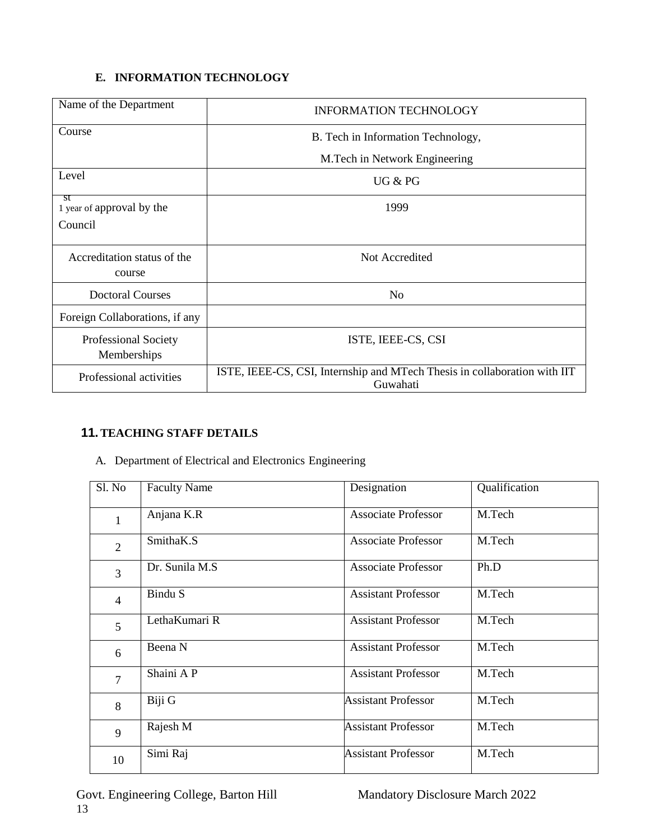## **E. INFORMATION TECHNOLOGY**

| Name of the Department                     | <b>INFORMATION TECHNOLOGY</b>                                                         |  |
|--------------------------------------------|---------------------------------------------------------------------------------------|--|
| Course                                     | B. Tech in Information Technology,                                                    |  |
|                                            | M.Tech in Network Engineering                                                         |  |
| Level                                      | UG & PG                                                                               |  |
| st<br>1 year of approval by the            | 1999                                                                                  |  |
| Council                                    |                                                                                       |  |
| Accreditation status of the<br>course      | Not Accredited                                                                        |  |
| <b>Doctoral Courses</b>                    | N <sub>0</sub>                                                                        |  |
| Foreign Collaborations, if any             |                                                                                       |  |
| <b>Professional Society</b><br>Memberships | ISTE, IEEE-CS, CSI                                                                    |  |
| Professional activities                    | ISTE, IEEE-CS, CSI, Internship and MTech Thesis in collaboration with IIT<br>Guwahati |  |

# **11.TEACHING STAFF DETAILS**

A. Department of Electrical and Electronics Engineering

| Sl. No         | <b>Faculty Name</b> | Designation                | Qualification |
|----------------|---------------------|----------------------------|---------------|
| $\mathbf{1}$   | Anjana K.R          | <b>Associate Professor</b> | M.Tech        |
| $\overline{2}$ | SmithaK.S           | <b>Associate Professor</b> | M.Tech        |
| 3              | Dr. Sunila M.S.     | <b>Associate Professor</b> | Ph.D          |
| $\overline{4}$ | Bindu S             | <b>Assistant Professor</b> | M.Tech        |
| 5              | LethaKumari R       | <b>Assistant Professor</b> | M.Tech        |
| 6              | Beena N             | <b>Assistant Professor</b> | M.Tech        |
| $\overline{7}$ | Shaini AP           | <b>Assistant Professor</b> | M.Tech        |
| 8              | Biji G              | <b>Assistant Professor</b> | M.Tech        |
| 9              | Rajesh M            | <b>Assistant Professor</b> | M.Tech        |
| 10             | Simi Raj            | <b>Assistant Professor</b> | M.Tech        |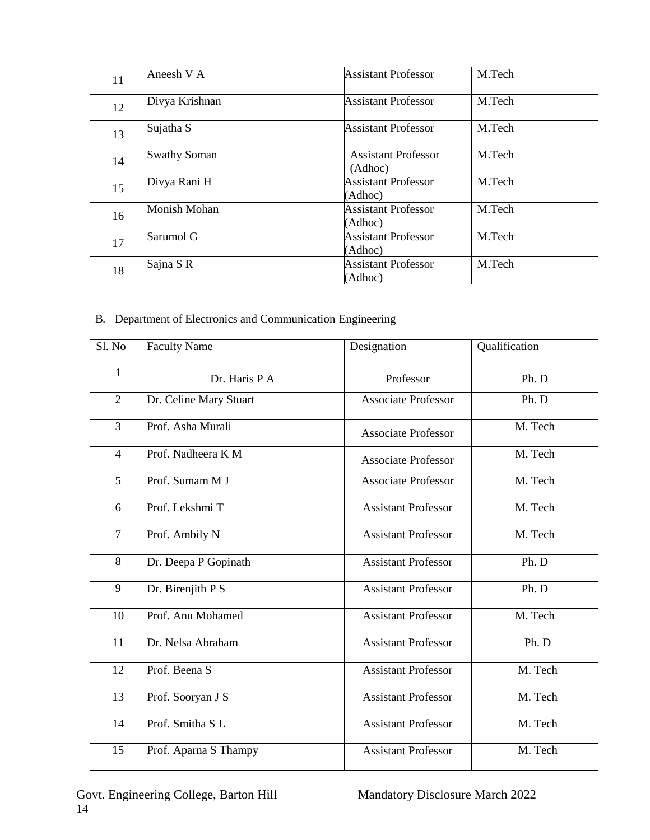| 11 | Aneesh V A          | <b>Assistant Professor</b>            | M.Tech |
|----|---------------------|---------------------------------------|--------|
| 12 | Divya Krishnan      | <b>Assistant Professor</b>            | M.Tech |
| 13 | Sujatha S           | <b>Assistant Professor</b>            | M.Tech |
| 14 | <b>Swathy Soman</b> | <b>Assistant Professor</b><br>(Adhoc) | M.Tech |
| 15 | Divya Rani H        | <b>Assistant Professor</b><br>(Adhoc) | M.Tech |
| 16 | Monish Mohan        | <b>Assistant Professor</b><br>(Adhoc) | M.Tech |
| 17 | Sarumol G           | <b>Assistant Professor</b><br>(Adhoc) | M.Tech |
| 18 | Sajna SR            | <b>Assistant Professor</b><br>(Adhoc) | M.Tech |

# B. Department of Electronics and Communication Engineering

| Sl. No         | <b>Faculty Name</b>    | Designation                | Qualification |
|----------------|------------------------|----------------------------|---------------|
| 1              | Dr. Haris P A          | Professor                  | Ph. D         |
| $\overline{2}$ | Dr. Celine Mary Stuart | <b>Associate Professor</b> | Ph. D         |
| 3              | Prof. Asha Murali      | <b>Associate Professor</b> | M. Tech       |
| $\overline{4}$ | Prof. Nadheera K M     | <b>Associate Professor</b> | M. Tech       |
| 5              | Prof. Sumam M J        | <b>Associate Professor</b> | M. Tech       |
| 6              | Prof. Lekshmi T        | <b>Assistant Professor</b> | M. Tech       |
| $\overline{7}$ | Prof. Ambily N         | <b>Assistant Professor</b> | M. Tech       |
| 8              | Dr. Deepa P Gopinath   | <b>Assistant Professor</b> | Ph. D         |
| 9              | Dr. Birenjith P S      | <b>Assistant Professor</b> | Ph. D         |
| 10             | Prof. Anu Mohamed      | <b>Assistant Professor</b> | M. Tech       |
| 11             | Dr. Nelsa Abraham      | <b>Assistant Professor</b> | Ph. D         |
| 12             | Prof. Beena S          | <b>Assistant Professor</b> | M. Tech       |
| 13             | Prof. Sooryan J S      | <b>Assistant Professor</b> | M. Tech       |
| 14             | Prof. Smitha SL        | <b>Assistant Professor</b> | M. Tech       |
| 15             | Prof. Aparna S Thampy  | <b>Assistant Professor</b> | M. Tech       |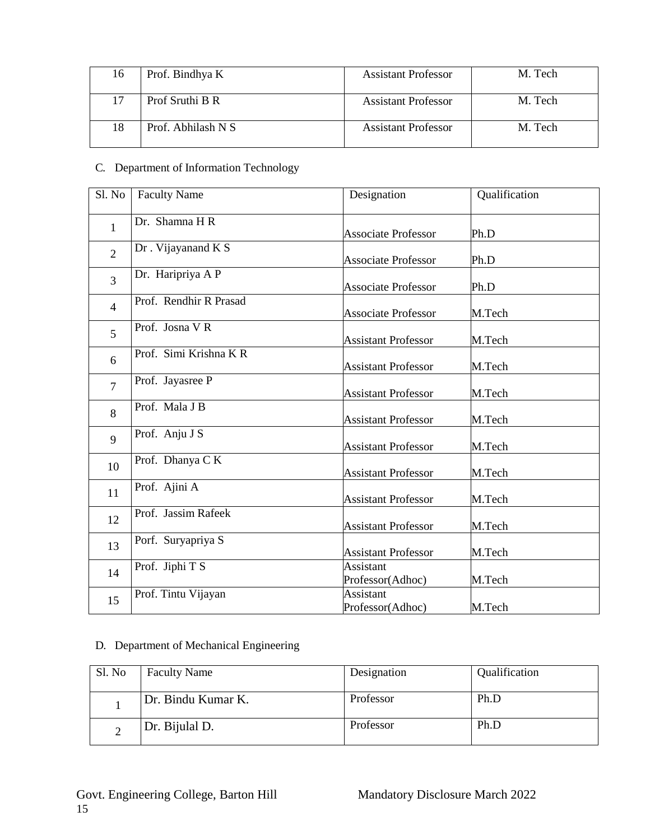| 16 | Prof. Bindhya K    | <b>Assistant Professor</b> | M. Tech |
|----|--------------------|----------------------------|---------|
|    | Prof Sruthi B R    | <b>Assistant Professor</b> | M. Tech |
|    | Prof. Abhilash N S | Assistant Professor        | M. Tech |

## C. Department of Information Technology

| Sl. No         | <b>Faculty Name</b>    | Designation                          | Qualification |
|----------------|------------------------|--------------------------------------|---------------|
| $\mathbf{1}$   | Dr. Shamna H R         | <b>Associate Professor</b>           | Ph.D          |
| $\overline{2}$ | Dr. Vijayanand K S     | <b>Associate Professor</b>           | Ph.D          |
| $\overline{3}$ | Dr. Haripriya A P      | <b>Associate Professor</b>           | Ph.D          |
| $\overline{4}$ | Prof. Rendhir R Prasad | <b>Associate Professor</b>           | M.Tech        |
| 5              | Prof. Josna VR         | <b>Assistant Professor</b>           | M.Tech        |
| 6              | Prof. Simi Krishna KR  | <b>Assistant Professor</b>           | M.Tech        |
| $\overline{7}$ | Prof. Jayasree P       | <b>Assistant Professor</b>           | M.Tech        |
| 8              | Prof. Mala J B         | <b>Assistant Professor</b>           | M.Tech        |
| 9              | Prof. Anju J S         | <b>Assistant Professor</b>           | M.Tech        |
| 10             | Prof. Dhanya C K       | <b>Assistant Professor</b>           | M.Tech        |
| 11             | Prof. Ajini A          | <b>Assistant Professor</b>           | M.Tech        |
| 12             | Prof. Jassim Rafeek    | <b>Assistant Professor</b>           | M.Tech        |
| 13             | Porf. Suryapriya S     | <b>Assistant Professor</b>           | M.Tech        |
| 14             | Prof. Jiphi T S        | <b>Assistant</b><br>Professor(Adhoc) | M.Tech        |
| 15             | Prof. Tintu Vijayan    | <b>Assistant</b><br>Professor(Adhoc) | M.Tech        |

# D. Department of Mechanical Engineering

| Sl. No | <b>Faculty Name</b> | Designation | Qualification |
|--------|---------------------|-------------|---------------|
|        | Dr. Bindu Kumar K.  | Professor   | Ph.D          |
|        | Dr. Bijulal D.      | Professor   | Ph.D          |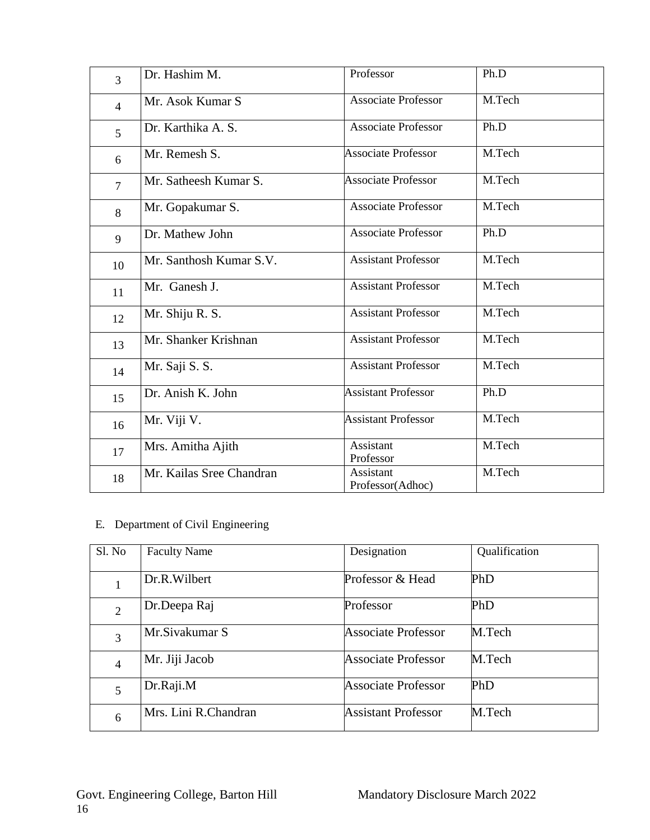| $\overline{3}$ | Dr. Hashim M.            | Professor                     | Ph.D   |
|----------------|--------------------------|-------------------------------|--------|
| $\overline{4}$ | Mr. Asok Kumar S         | <b>Associate Professor</b>    | M.Tech |
| 5              | Dr. Karthika A. S.       | <b>Associate Professor</b>    | Ph.D   |
| 6              | Mr. Remesh S.            | <b>Associate Professor</b>    | M.Tech |
| $\overline{7}$ | Mr. Satheesh Kumar S.    | <b>Associate Professor</b>    | M.Tech |
| 8              | Mr. Gopakumar S.         | <b>Associate Professor</b>    | M.Tech |
| 9              | Dr. Mathew John          | <b>Associate Professor</b>    | Ph.D   |
| 10             | Mr. Santhosh Kumar S.V.  | <b>Assistant Professor</b>    | M.Tech |
| 11             | Mr. Ganesh J.            | <b>Assistant Professor</b>    | M.Tech |
| 12             | Mr. Shiju R. S.          | <b>Assistant Professor</b>    | M.Tech |
| 13             | Mr. Shanker Krishnan     | <b>Assistant Professor</b>    | M.Tech |
| 14             | Mr. Saji S. S.           | <b>Assistant Professor</b>    | M.Tech |
| 15             | Dr. Anish K. John        | <b>Assistant Professor</b>    | Ph.D   |
| 16             | Mr. Viji V.              | <b>Assistant Professor</b>    | M.Tech |
| 17             | Mrs. Amitha Ajith        | Assistant<br>Professor        | M.Tech |
| 18             | Mr. Kailas Sree Chandran | Assistant<br>Professor(Adhoc) | M.Tech |

# E. Department of Civil Engineering

| Sl. No         | <b>Faculty Name</b>  | Designation                | Qualification |
|----------------|----------------------|----------------------------|---------------|
|                |                      |                            |               |
|                | Dr.R.Wilbert         | Professor & Head           | PhD           |
| $\overline{2}$ | Dr.Deepa Raj         | Professor                  | PhD           |
| 3              | Mr.Sivakumar S       | <b>Associate Professor</b> | M.Tech        |
| $\overline{4}$ | Mr. Jiji Jacob       | <b>Associate Professor</b> | M.Tech        |
| 5              | Dr.Raji.M            | <b>Associate Professor</b> | PhD           |
| 6              | Mrs. Lini R.Chandran | <b>Assistant Professor</b> | M.Tech        |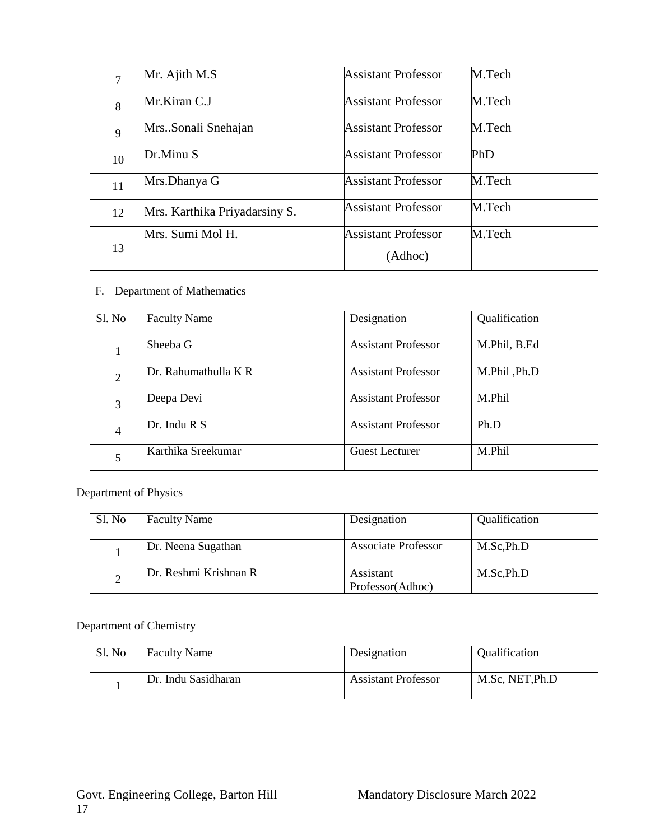| 7  | Mr. Ajith M.S                 | <b>Assistant Professor</b> | M.Tech |
|----|-------------------------------|----------------------------|--------|
| 8  | Mr.Kiran C.J                  | <b>Assistant Professor</b> | M.Tech |
| 9  | MrsSonali Snehajan            | Assistant Professor        | M.Tech |
| 10 | Dr.Minu S                     | Assistant Professor        | PhD    |
| 11 | Mrs.Dhanya G                  | <b>Assistant Professor</b> | M.Tech |
| 12 | Mrs. Karthika Priyadarsiny S. | <b>Assistant Professor</b> | M.Tech |
|    | Mrs. Sumi Mol H.              | <b>Assistant Professor</b> | M.Tech |
| 13 |                               | (Adhoc)                    |        |

## F. Department of Mathematics

| Sl. No         | <b>Faculty Name</b>  | Designation                | Qualification |
|----------------|----------------------|----------------------------|---------------|
| 1              | Sheeba G             | <b>Assistant Professor</b> | M.Phil, B.Ed  |
| $\overline{2}$ | Dr. Rahumathulla K R | <b>Assistant Professor</b> | M.Phil, Ph.D  |
| 3              | Deepa Devi           | <b>Assistant Professor</b> | M.Phil        |
| 4              | Dr. Indu R S         | <b>Assistant Professor</b> | Ph.D          |
| 5              | Karthika Sreekumar   | <b>Guest Lecturer</b>      | M.Phil        |

Department of Physics

| Sl. No | <b>Faculty Name</b>   | Designation                   | Qualification |
|--------|-----------------------|-------------------------------|---------------|
|        | Dr. Neena Sugathan    | <b>Associate Professor</b>    | M.Sc, Ph.D    |
| ∠      | Dr. Reshmi Krishnan R | Assistant<br>Professor(Adhoc) | M.Sc, Ph.D    |

Department of Chemistry

| Sl. No | <b>Faculty Name</b> | Designation                | <b>Oualification</b> |
|--------|---------------------|----------------------------|----------------------|
|        | Dr. Indu Sasidharan | <b>Assistant Professor</b> | M.Sc. NET.Ph.D       |